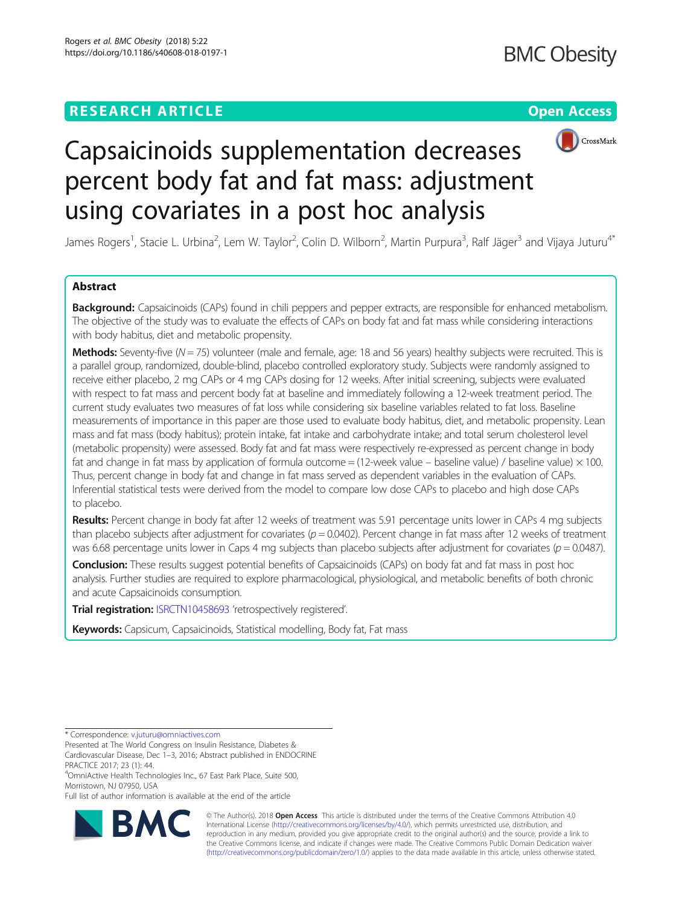# **RESEARCH ARTICLE Example 2018 12:30 THE Open Access**





# Capsaicinoids supplementation decreases percent body fat and fat mass: adjustment using covariates in a post hoc analysis

James Rogers<sup>1</sup>, Stacie L. Urbina<sup>2</sup>, Lem W. Taylor<sup>2</sup>, Colin D. Wilborn<sup>2</sup>, Martin Purpura<sup>3</sup>, Ralf Jäger<sup>3</sup> and Vijaya Juturu<sup>4\*</sup>

# Abstract

Background: Capsaicinoids (CAPs) found in chili peppers and pepper extracts, are responsible for enhanced metabolism. The objective of the study was to evaluate the effects of CAPs on body fat and fat mass while considering interactions with body habitus, diet and metabolic propensity.

**Methods:** Seventy-five ( $N = 75$ ) volunteer (male and female, age: 18 and 56 years) healthy subjects were recruited. This is a parallel group, randomized, double-blind, placebo controlled exploratory study. Subjects were randomly assigned to receive either placebo, 2 mg CAPs or 4 mg CAPs dosing for 12 weeks. After initial screening, subjects were evaluated with respect to fat mass and percent body fat at baseline and immediately following a 12-week treatment period. The current study evaluates two measures of fat loss while considering six baseline variables related to fat loss. Baseline measurements of importance in this paper are those used to evaluate body habitus, diet, and metabolic propensity. Lean mass and fat mass (body habitus); protein intake, fat intake and carbohydrate intake; and total serum cholesterol level (metabolic propensity) were assessed. Body fat and fat mass were respectively re-expressed as percent change in body fat and change in fat mass by application of formula outcome =  $(12$ -week value – baseline value) / baseline value)  $\times$  100. Thus, percent change in body fat and change in fat mass served as dependent variables in the evaluation of CAPs. Inferential statistical tests were derived from the model to compare low dose CAPs to placebo and high dose CAPs to placebo.

Results: Percent change in body fat after 12 weeks of treatment was 5.91 percentage units lower in CAPs 4 mg subjects than placebo subjects after adjustment for covariates ( $p = 0.0402$ ). Percent change in fat mass after 12 weeks of treatment was 6.68 percentage units lower in Caps 4 mg subjects than placebo subjects after adjustment for covariates ( $p = 0.0487$ ).

Conclusion: These results suggest potential benefits of Capsaicinoids (CAPs) on body fat and fat mass in post hoc analysis. Further studies are required to explore pharmacological, physiological, and metabolic benefits of both chronic and acute Capsaicinoids consumption.

Trial registration: [ISRCTN10458693](https://doi.org/10.1186/ISRCTN10458693) 'retrospectively registered'.

Keywords: Capsicum, Capsaicinoids, Statistical modelling, Body fat, Fat mass

\* Correspondence: [v.juturu@omniactives.com](mailto:v.juturu@omniactives.com)

Presented at The World Congress on Insulin Resistance, Diabetes & Cardiovascular Disease, Dec 1–3, 2016; Abstract published in ENDOCRINE

PRACTICE 2017; 23 (1): 44.

<sup>4</sup>OmniActive Health Technologies Inc., 67 East Park Place, Suite 500, Morristown, NJ 07950, USA

Full list of author information is available at the end of the article



© The Author(s). 2018 Open Access This article is distributed under the terms of the Creative Commons Attribution 4.0 International License [\(http://creativecommons.org/licenses/by/4.0/](http://creativecommons.org/licenses/by/4.0/)), which permits unrestricted use, distribution, and reproduction in any medium, provided you give appropriate credit to the original author(s) and the source, provide a link to the Creative Commons license, and indicate if changes were made. The Creative Commons Public Domain Dedication waiver [\(http://creativecommons.org/publicdomain/zero/1.0/](http://creativecommons.org/publicdomain/zero/1.0/)) applies to the data made available in this article, unless otherwise stated.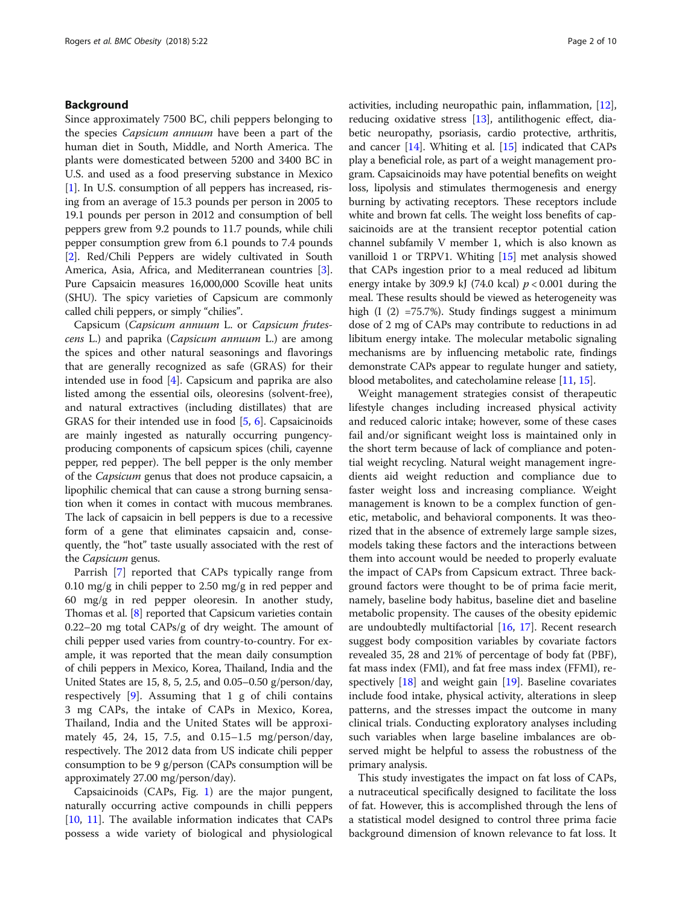# Background

Since approximately 7500 BC, chili peppers belonging to the species Capsicum annuum have been a part of the human diet in South, Middle, and North America. The plants were domesticated between 5200 and 3400 BC in U.S. and used as a food preserving substance in Mexico [[1\]](#page-8-0). In U.S. consumption of all peppers has increased, rising from an average of 15.3 pounds per person in 2005 to 19.1 pounds per person in 2012 and consumption of bell peppers grew from 9.2 pounds to 11.7 pounds, while chili pepper consumption grew from 6.1 pounds to 7.4 pounds [[2\]](#page-8-0). Red/Chili Peppers are widely cultivated in South America, Asia, Africa, and Mediterranean countries [[3](#page-8-0)]. Pure Capsaicin measures 16,000,000 Scoville heat units (SHU). The spicy varieties of Capsicum are commonly called chili peppers, or simply "chilies".

Capsicum (Capsicum annuum L. or Capsicum frutescens L.) and paprika (Capsicum annuum L.) are among the spices and other natural seasonings and flavorings that are generally recognized as safe (GRAS) for their intended use in food [\[4\]](#page-8-0). Capsicum and paprika are also listed among the essential oils, oleoresins (solvent-free), and natural extractives (including distillates) that are GRAS for their intended use in food [\[5](#page-8-0), [6](#page-8-0)]. Capsaicinoids are mainly ingested as naturally occurring pungencyproducing components of capsicum spices (chili, cayenne pepper, red pepper). The bell pepper is the only member of the Capsicum genus that does not produce capsaicin, a lipophilic chemical that can cause a strong burning sensation when it comes in contact with mucous membranes. The lack of capsaicin in bell peppers is due to a recessive form of a gene that eliminates capsaicin and, consequently, the "hot" taste usually associated with the rest of the Capsicum genus.

Parrish [[7](#page-8-0)] reported that CAPs typically range from 0.10 mg/g in chili pepper to 2.50 mg/g in red pepper and 60 mg/g in red pepper oleoresin. In another study, Thomas et al. [[8\]](#page-8-0) reported that Capsicum varieties contain 0.22–20 mg total CAPs/g of dry weight. The amount of chili pepper used varies from country-to-country. For example, it was reported that the mean daily consumption of chili peppers in Mexico, Korea, Thailand, India and the United States are 15, 8, 5, 2.5, and 0.05–0.50 g/person/day, respectively  $[9]$  $[9]$ . Assuming that 1 g of chili contains 3 mg CAPs, the intake of CAPs in Mexico, Korea, Thailand, India and the United States will be approximately 45, 24, 15, 7.5, and 0.15–1.5 mg/person/day, respectively. The 2012 data from US indicate chili pepper consumption to be 9 g/person (CAPs consumption will be approximately 27.00 mg/person/day).

Capsaicinoids (CAPs, Fig. [1](#page-2-0)) are the major pungent, naturally occurring active compounds in chilli peppers [[10,](#page-8-0) [11\]](#page-8-0). The available information indicates that CAPs possess a wide variety of biological and physiological activities, including neuropathic pain, inflammation, [[12](#page-8-0)], reducing oxidative stress [\[13](#page-8-0)], antilithogenic effect, diabetic neuropathy, psoriasis, cardio protective, arthritis, and cancer  $[14]$  $[14]$  $[14]$ . Whiting et al.  $[15]$  indicated that CAPs play a beneficial role, as part of a weight management program. Capsaicinoids may have potential benefits on weight loss, lipolysis and stimulates thermogenesis and energy burning by activating receptors. These receptors include white and brown fat cells. The weight loss benefits of capsaicinoids are at the transient receptor potential cation channel subfamily V member 1, which is also known as vanilloid 1 or TRPV1. Whiting [\[15](#page-9-0)] met analysis showed that CAPs ingestion prior to a meal reduced ad libitum energy intake by 309.9 kJ (74.0 kcal)  $p < 0.001$  during the meal. These results should be viewed as heterogeneity was high (I (2) =75.7%). Study findings suggest a minimum dose of 2 mg of CAPs may contribute to reductions in ad libitum energy intake. The molecular metabolic signaling mechanisms are by influencing metabolic rate, findings demonstrate CAPs appear to regulate hunger and satiety, blood metabolites, and catecholamine release [\[11,](#page-8-0) [15](#page-9-0)].

Weight management strategies consist of therapeutic lifestyle changes including increased physical activity and reduced caloric intake; however, some of these cases fail and/or significant weight loss is maintained only in the short term because of lack of compliance and potential weight recycling. Natural weight management ingredients aid weight reduction and compliance due to faster weight loss and increasing compliance. Weight management is known to be a complex function of genetic, metabolic, and behavioral components. It was theorized that in the absence of extremely large sample sizes, models taking these factors and the interactions between them into account would be needed to properly evaluate the impact of CAPs from Capsicum extract. Three background factors were thought to be of prima facie merit, namely, baseline body habitus, baseline diet and baseline metabolic propensity. The causes of the obesity epidemic are undoubtedly multifactorial [[16,](#page-9-0) [17\]](#page-9-0). Recent research suggest body composition variables by covariate factors revealed 35, 28 and 21% of percentage of body fat (PBF), fat mass index (FMI), and fat free mass index (FFMI), respectively  $[18]$  $[18]$  and weight gain  $[19]$  $[19]$ . Baseline covariates include food intake, physical activity, alterations in sleep patterns, and the stresses impact the outcome in many clinical trials. Conducting exploratory analyses including such variables when large baseline imbalances are observed might be helpful to assess the robustness of the primary analysis.

This study investigates the impact on fat loss of CAPs, a nutraceutical specifically designed to facilitate the loss of fat. However, this is accomplished through the lens of a statistical model designed to control three prima facie background dimension of known relevance to fat loss. It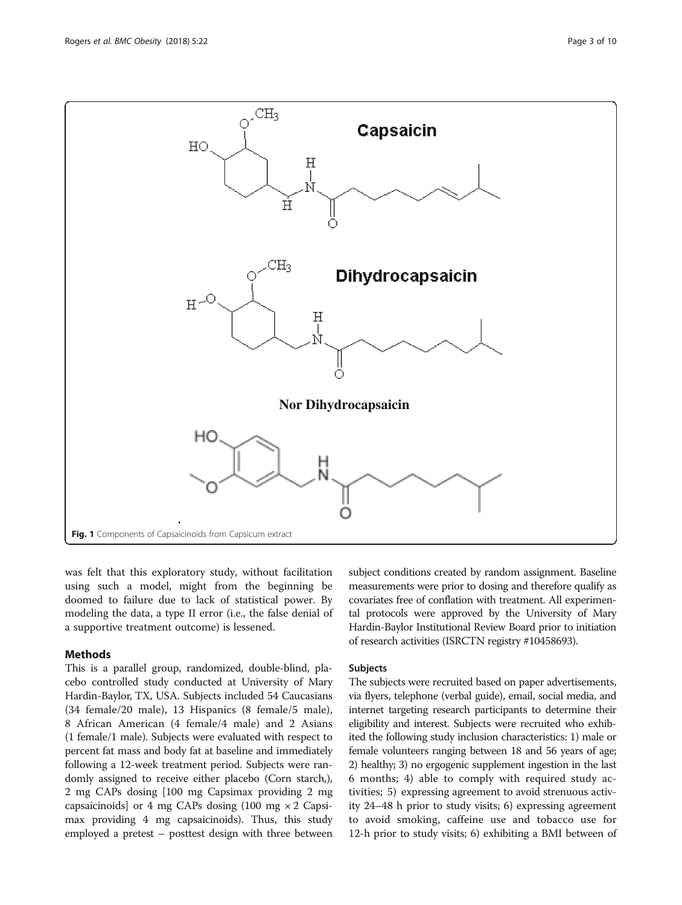<span id="page-2-0"></span>

was felt that this exploratory study, without facilitation using such a model, might from the beginning be doomed to failure due to lack of statistical power. By modeling the data, a type II error (i.e., the false denial of a supportive treatment outcome) is lessened.

# Methods

This is a parallel group, randomized, double-blind, placebo controlled study conducted at University of Mary Hardin-Baylor, TX, USA. Subjects included 54 Caucasians (34 female/20 male), 13 Hispanics (8 female/5 male), 8 African American (4 female/4 male) and 2 Asians (1 female/1 male). Subjects were evaluated with respect to percent fat mass and body fat at baseline and immediately following a 12-week treatment period. Subjects were randomly assigned to receive either placebo (Corn starch,), 2 mg CAPs dosing [100 mg Capsimax providing 2 mg capsaicinoids] or 4 mg CAPs dosing  $(100 \text{ mg} \times 2 \text{ Capsi-}$ max providing 4 mg capsaicinoids). Thus, this study employed a pretest – posttest design with three between

subject conditions created by random assignment. Baseline measurements were prior to dosing and therefore qualify as covariates free of conflation with treatment. All experimental protocols were approved by the University of Mary Hardin-Baylor Institutional Review Board prior to initiation of research activities (ISRCTN registry #10458693).

# Subjects

The subjects were recruited based on paper advertisements, via flyers, telephone (verbal guide), email, social media, and internet targeting research participants to determine their eligibility and interest. Subjects were recruited who exhibited the following study inclusion characteristics: 1) male or female volunteers ranging between 18 and 56 years of age; 2) healthy; 3) no ergogenic supplement ingestion in the last 6 months; 4) able to comply with required study activities; 5) expressing agreement to avoid strenuous activity 24–48 h prior to study visits; 6) expressing agreement to avoid smoking, caffeine use and tobacco use for 12-h prior to study visits; 6) exhibiting a BMI between of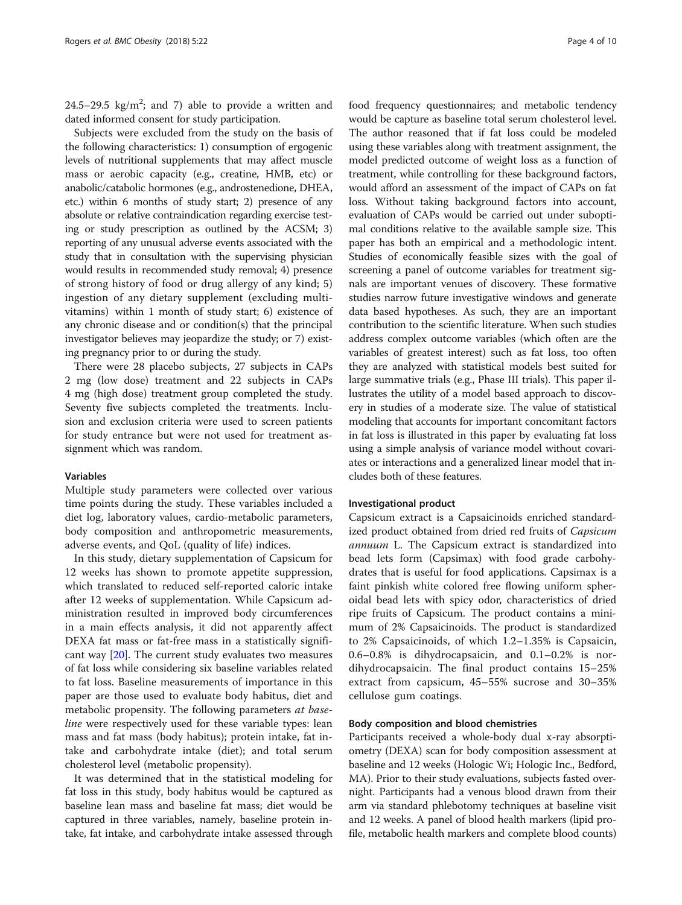$24.5-29.5$  kg/m<sup>2</sup>; and 7) able to provide a written and dated informed consent for study participation.

Subjects were excluded from the study on the basis of the following characteristics: 1) consumption of ergogenic levels of nutritional supplements that may affect muscle mass or aerobic capacity (e.g., creatine, HMB, etc) or anabolic/catabolic hormones (e.g., androstenedione, DHEA, etc.) within 6 months of study start; 2) presence of any absolute or relative contraindication regarding exercise testing or study prescription as outlined by the ACSM; 3) reporting of any unusual adverse events associated with the study that in consultation with the supervising physician would results in recommended study removal; 4) presence of strong history of food or drug allergy of any kind; 5) ingestion of any dietary supplement (excluding multivitamins) within 1 month of study start; 6) existence of any chronic disease and or condition(s) that the principal investigator believes may jeopardize the study; or 7) existing pregnancy prior to or during the study.

There were 28 placebo subjects, 27 subjects in CAPs 2 mg (low dose) treatment and 22 subjects in CAPs 4 mg (high dose) treatment group completed the study. Seventy five subjects completed the treatments. Inclusion and exclusion criteria were used to screen patients for study entrance but were not used for treatment assignment which was random.

#### Variables

Multiple study parameters were collected over various time points during the study. These variables included a diet log, laboratory values, cardio-metabolic parameters, body composition and anthropometric measurements, adverse events, and QoL (quality of life) indices.

In this study, dietary supplementation of Capsicum for 12 weeks has shown to promote appetite suppression, which translated to reduced self-reported caloric intake after 12 weeks of supplementation. While Capsicum administration resulted in improved body circumferences in a main effects analysis, it did not apparently affect DEXA fat mass or fat-free mass in a statistically significant way [[20\]](#page-9-0). The current study evaluates two measures of fat loss while considering six baseline variables related to fat loss. Baseline measurements of importance in this paper are those used to evaluate body habitus, diet and metabolic propensity. The following parameters at baseline were respectively used for these variable types: lean mass and fat mass (body habitus); protein intake, fat intake and carbohydrate intake (diet); and total serum cholesterol level (metabolic propensity).

It was determined that in the statistical modeling for fat loss in this study, body habitus would be captured as baseline lean mass and baseline fat mass; diet would be captured in three variables, namely, baseline protein intake, fat intake, and carbohydrate intake assessed through

food frequency questionnaires; and metabolic tendency would be capture as baseline total serum cholesterol level. The author reasoned that if fat loss could be modeled using these variables along with treatment assignment, the model predicted outcome of weight loss as a function of treatment, while controlling for these background factors, would afford an assessment of the impact of CAPs on fat loss. Without taking background factors into account, evaluation of CAPs would be carried out under suboptimal conditions relative to the available sample size. This paper has both an empirical and a methodologic intent. Studies of economically feasible sizes with the goal of screening a panel of outcome variables for treatment signals are important venues of discovery. These formative studies narrow future investigative windows and generate data based hypotheses. As such, they are an important contribution to the scientific literature. When such studies address complex outcome variables (which often are the variables of greatest interest) such as fat loss, too often they are analyzed with statistical models best suited for large summative trials (e.g., Phase III trials). This paper illustrates the utility of a model based approach to discovery in studies of a moderate size. The value of statistical modeling that accounts for important concomitant factors in fat loss is illustrated in this paper by evaluating fat loss using a simple analysis of variance model without covariates or interactions and a generalized linear model that includes both of these features.

## Investigational product

Capsicum extract is a Capsaicinoids enriched standardized product obtained from dried red fruits of Capsicum annuum L. The Capsicum extract is standardized into bead lets form (Capsimax) with food grade carbohydrates that is useful for food applications. Capsimax is a faint pinkish white colored free flowing uniform spheroidal bead lets with spicy odor, characteristics of dried ripe fruits of Capsicum. The product contains a minimum of 2% Capsaicinoids. The product is standardized to 2% Capsaicinoids, of which 1.2–1.35% is Capsaicin, 0.6–0.8% is dihydrocapsaicin, and 0.1–0.2% is nordihydrocapsaicin. The final product contains 15–25% extract from capsicum, 45–55% sucrose and 30–35% cellulose gum coatings.

# Body composition and blood chemistries

Participants received a whole-body dual x-ray absorptiometry (DEXA) scan for body composition assessment at baseline and 12 weeks (Hologic Wi; Hologic Inc., Bedford, MA). Prior to their study evaluations, subjects fasted overnight. Participants had a venous blood drawn from their arm via standard phlebotomy techniques at baseline visit and 12 weeks. A panel of blood health markers (lipid profile, metabolic health markers and complete blood counts)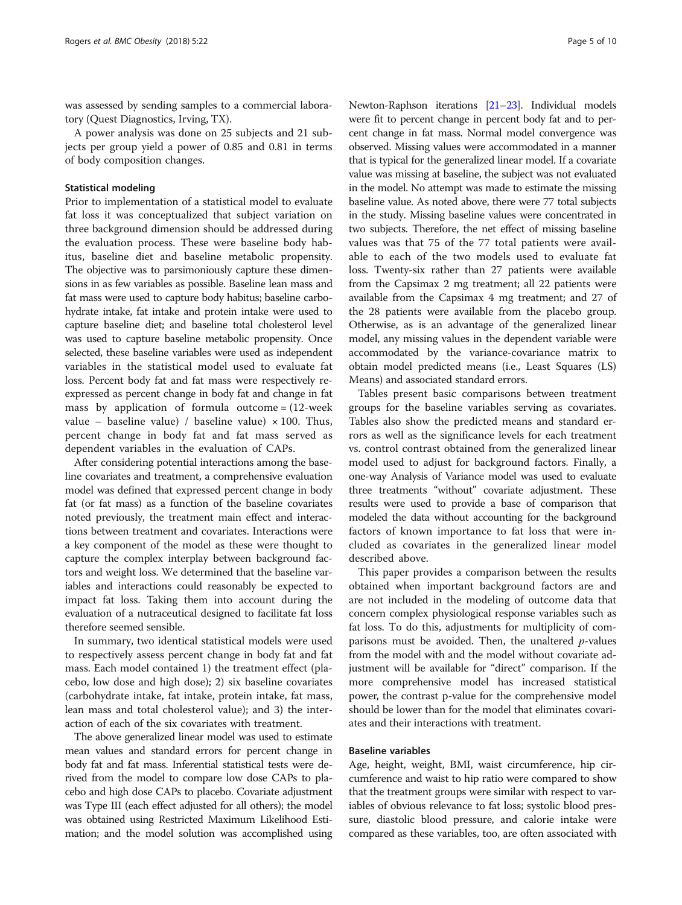was assessed by sending samples to a commercial laboratory (Quest Diagnostics, Irving, TX).

A power analysis was done on 25 subjects and 21 subjects per group yield a power of 0.85 and 0.81 in terms of body composition changes.

# Statistical modeling

Prior to implementation of a statistical model to evaluate fat loss it was conceptualized that subject variation on three background dimension should be addressed during the evaluation process. These were baseline body habitus, baseline diet and baseline metabolic propensity. The objective was to parsimoniously capture these dimensions in as few variables as possible. Baseline lean mass and fat mass were used to capture body habitus; baseline carbohydrate intake, fat intake and protein intake were used to capture baseline diet; and baseline total cholesterol level was used to capture baseline metabolic propensity. Once selected, these baseline variables were used as independent variables in the statistical model used to evaluate fat loss. Percent body fat and fat mass were respectively reexpressed as percent change in body fat and change in fat mass by application of formula outcome  $= (12$ -week value – baseline value) / baseline value)  $\times$  100. Thus, percent change in body fat and fat mass served as dependent variables in the evaluation of CAPs.

After considering potential interactions among the baseline covariates and treatment, a comprehensive evaluation model was defined that expressed percent change in body fat (or fat mass) as a function of the baseline covariates noted previously, the treatment main effect and interactions between treatment and covariates. Interactions were a key component of the model as these were thought to capture the complex interplay between background factors and weight loss. We determined that the baseline variables and interactions could reasonably be expected to impact fat loss. Taking them into account during the evaluation of a nutraceutical designed to facilitate fat loss therefore seemed sensible.

In summary, two identical statistical models were used to respectively assess percent change in body fat and fat mass. Each model contained 1) the treatment effect (placebo, low dose and high dose); 2) six baseline covariates (carbohydrate intake, fat intake, protein intake, fat mass, lean mass and total cholesterol value); and 3) the interaction of each of the six covariates with treatment.

The above generalized linear model was used to estimate mean values and standard errors for percent change in body fat and fat mass. Inferential statistical tests were derived from the model to compare low dose CAPs to placebo and high dose CAPs to placebo. Covariate adjustment was Type III (each effect adjusted for all others); the model was obtained using Restricted Maximum Likelihood Estimation; and the model solution was accomplished using Newton-Raphson iterations [\[21](#page-9-0)–[23\]](#page-9-0). Individual models were fit to percent change in percent body fat and to percent change in fat mass. Normal model convergence was observed. Missing values were accommodated in a manner that is typical for the generalized linear model. If a covariate value was missing at baseline, the subject was not evaluated in the model. No attempt was made to estimate the missing baseline value. As noted above, there were 77 total subjects in the study. Missing baseline values were concentrated in two subjects. Therefore, the net effect of missing baseline values was that 75 of the 77 total patients were available to each of the two models used to evaluate fat loss. Twenty-six rather than 27 patients were available from the Capsimax 2 mg treatment; all 22 patients were available from the Capsimax 4 mg treatment; and 27 of the 28 patients were available from the placebo group. Otherwise, as is an advantage of the generalized linear model, any missing values in the dependent variable were accommodated by the variance-covariance matrix to obtain model predicted means (i.e., Least Squares (LS) Means) and associated standard errors.

Tables present basic comparisons between treatment groups for the baseline variables serving as covariates. Tables also show the predicted means and standard errors as well as the significance levels for each treatment vs. control contrast obtained from the generalized linear model used to adjust for background factors. Finally, a one-way Analysis of Variance model was used to evaluate three treatments "without" covariate adjustment. These results were used to provide a base of comparison that modeled the data without accounting for the background factors of known importance to fat loss that were included as covariates in the generalized linear model described above.

This paper provides a comparison between the results obtained when important background factors are and are not included in the modeling of outcome data that concern complex physiological response variables such as fat loss. To do this, adjustments for multiplicity of comparisons must be avoided. Then, the unaltered  $p$ -values from the model with and the model without covariate adjustment will be available for "direct" comparison. If the more comprehensive model has increased statistical power, the contrast p-value for the comprehensive model should be lower than for the model that eliminates covariates and their interactions with treatment.

# Baseline variables

Age, height, weight, BMI, waist circumference, hip circumference and waist to hip ratio were compared to show that the treatment groups were similar with respect to variables of obvious relevance to fat loss; systolic blood pressure, diastolic blood pressure, and calorie intake were compared as these variables, too, are often associated with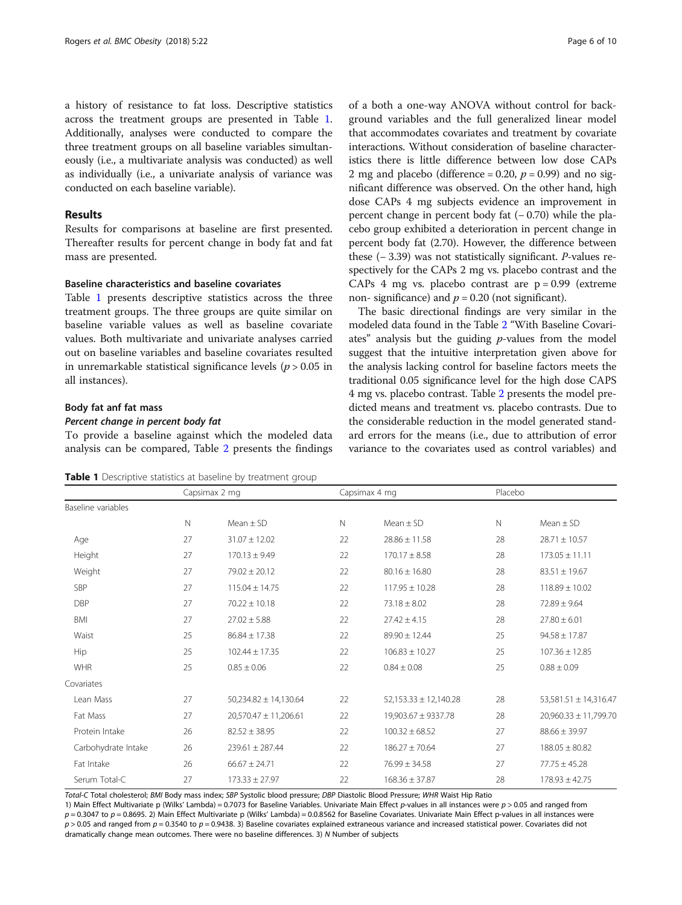a history of resistance to fat loss. Descriptive statistics across the treatment groups are presented in Table 1. Additionally, analyses were conducted to compare the three treatment groups on all baseline variables simultaneously (i.e., a multivariate analysis was conducted) as well as individually (i.e., a univariate analysis of variance was conducted on each baseline variable).

# Results

Results for comparisons at baseline are first presented. Thereafter results for percent change in body fat and fat mass are presented.

#### Baseline characteristics and baseline covariates

Table 1 presents descriptive statistics across the three treatment groups. The three groups are quite similar on baseline variable values as well as baseline covariate values. Both multivariate and univariate analyses carried out on baseline variables and baseline covariates resulted in unremarkable statistical significance levels ( $p > 0.05$  in all instances).

# Body fat anf fat mass

## Percent change in percent body fat

To provide a baseline against which the modeled data analysis can be compared, Table [2](#page-6-0) presents the findings

Table 1 Descriptive statistics at baseline by treatment group

of a both a one-way ANOVA without control for background variables and the full generalized linear model that accommodates covariates and treatment by covariate interactions. Without consideration of baseline characteristics there is little difference between low dose CAPs 2 mg and placebo (difference = 0.20,  $p = 0.99$ ) and no significant difference was observed. On the other hand, high dose CAPs 4 mg subjects evidence an improvement in percent change in percent body fat (− 0.70) while the placebo group exhibited a deterioration in percent change in percent body fat (2.70). However, the difference between these (− 3.39) was not statistically significant. P-values respectively for the CAPs 2 mg vs. placebo contrast and the CAPs 4 mg vs. placebo contrast are  $p = 0.99$  (extreme non- significance) and  $p = 0.20$  (not significant).

The basic directional findings are very similar in the modeled data found in the Table [2](#page-6-0) "With Baseline Covariates" analysis but the guiding  $p$ -values from the model suggest that the intuitive interpretation given above for the analysis lacking control for baseline factors meets the traditional 0.05 significance level for the high dose CAPS 4 mg vs. placebo contrast. Table [2](#page-6-0) presents the model predicted means and treatment vs. placebo contrasts. Due to the considerable reduction in the model generated standard errors for the means (i.e., due to attribution of error variance to the covariates used as control variables) and

|                     | Capsimax 2 mg |                           | Capsimax 4 mg |                           | Placebo |                           |
|---------------------|---------------|---------------------------|---------------|---------------------------|---------|---------------------------|
| Baseline variables  |               |                           |               |                           |         |                           |
|                     | N             | Mean $\pm$ SD             | $\mathsf{N}$  | $Mean \pm SD$             | N       | Mean $\pm$ SD             |
| Age                 | 27            | $31.07 \pm 12.02$         | 22            | $28.86 \pm 11.58$         | 28      | $28.71 \pm 10.57$         |
| Height              | 27            | $170.13 \pm 9.49$         | 22            | $170.17 \pm 8.58$         | 28      | $173.05 \pm 11.11$        |
| Weight              | 27            | $79.02 \pm 20.12$         | 22            | $80.16 \pm 16.80$         | 28      | $83.51 \pm 19.67$         |
| SBP                 | 27            | $115.04 \pm 14.75$        | 22            | $117.95 \pm 10.28$        | 28      | $118.89 \pm 10.02$        |
| <b>DBP</b>          | 27            | $70.22 \pm 10.18$         | 22            | $73.18 \pm 8.02$          | 28      | $72.89 \pm 9.64$          |
| BMI                 | 27            | $27.02 \pm 5.88$          | 22            | $27.42 \pm 4.15$          | 28      | $27.80 \pm 6.01$          |
| Waist               | 25            | $86.84 \pm 17.38$         | 22            | $89.90 \pm 12.44$         | 25      | $94.58 \pm 17.87$         |
| Hip                 | 25            | $102.44 \pm 17.35$        | 22            | $106.83 \pm 10.27$        | 25      | $107.36 \pm 12.85$        |
| <b>WHR</b>          | 25            | $0.85 \pm 0.06$           | 22            | $0.84 \pm 0.08$           | 25      | $0.88 \pm 0.09$           |
| Covariates          |               |                           |               |                           |         |                           |
| Lean Mass           | 27            | $50,234.82 \pm 14,130.64$ | 22            | $52,153.33 \pm 12,140.28$ | 28      | $53,581.51 \pm 14,316.47$ |
| Fat Mass            | 27            | $20,570.47 \pm 11,206.61$ | 22            | 19,903.67 ± 9337.78       | 28      | $20,960.33 \pm 11,799.70$ |
| Protein Intake      | 26            | $82.52 \pm 38.95$         | 22            | $100.32 \pm 68.52$        | 27      | $88.66 \pm 39.97$         |
| Carbohydrate Intake | 26            | $239.61 \pm 287.44$       | 22            | $186.27 \pm 70.64$        | 27      | $188.05 \pm 80.82$        |
| Fat Intake          | 26            | $66.67 \pm 24.71$         | 22            | $76.99 \pm 34.58$         | 27      | $77.75 \pm 45.28$         |
| Serum Total-C       | 27            | $173.33 \pm 27.97$        | 22            | $168.36 \pm 37.87$        | 28      | $178.93 \pm 42.75$        |

Total-C Total cholesterol; BMI Body mass index; SBP Systolic blood pressure; DBP Diastolic Blood Pressure; WHR Waist Hip Ratio

1) Main Effect Multivariate p (Wilks' Lambda) = 0.7073 for Baseline Variables. Univariate Main Effect p-values in all instances were p > 0.05 and ranged from  $p = 0.3047$  to  $p = 0.8695$ . 2) Main Effect Multivariate p (Wilks' Lambda) = 0.0.8562 for Baseline Covariates. Univariate Main Effect p-values in all instances were  $p > 0.05$  and ranged from  $p = 0.3540$  to  $p = 0.9438$ . 3) Baseline covariates explained extraneous variance and increased statistical power. Covariates did not dramatically change mean outcomes. There were no baseline differences. 3) N Number of subjects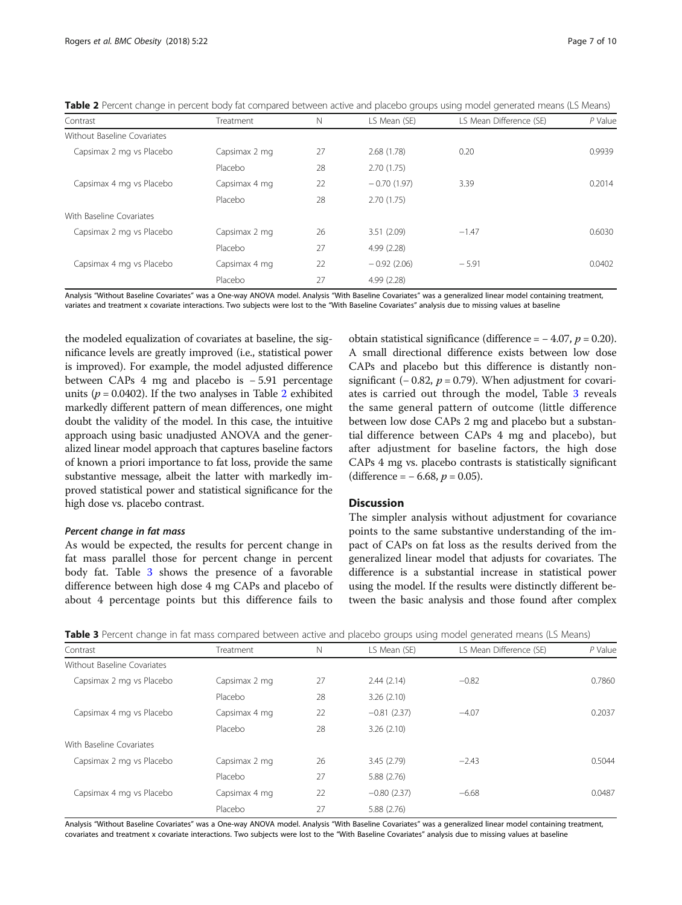<span id="page-6-0"></span>Table 2 Percent change in percent body fat compared between active and placebo groups using model generated means (LS Means)

| Contrast                    | Treatment     | Ν  | LS Mean (SE)  | LS Mean Difference (SE) | $P$ Value |
|-----------------------------|---------------|----|---------------|-------------------------|-----------|
| Without Baseline Covariates |               |    |               |                         |           |
| Capsimax 2 mg vs Placebo    | Capsimax 2 mg | 27 | 2.68(1.78)    | 0.20                    | 0.9939    |
|                             | Placebo       | 28 | 2.70(1.75)    |                         |           |
| Capsimax 4 mg vs Placebo    | Capsimax 4 mg | 22 | $-0.70(1.97)$ | 3.39                    | 0.2014    |
|                             | Placebo       | 28 | 2.70(1.75)    |                         |           |
| With Baseline Covariates    |               |    |               |                         |           |
| Capsimax 2 mg vs Placebo    | Capsimax 2 mg | 26 | 3.51 (2.09)   | $-1.47$                 | 0.6030    |
|                             | Placebo       | 27 | 4.99(2.28)    |                         |           |
| Capsimax 4 mg vs Placebo    | Capsimax 4 mg | 22 | $-0.92(2.06)$ | $-5.91$                 | 0.0402    |
|                             | Placebo       | 27 | 4.99(2.28)    |                         |           |

Analysis "Without Baseline Covariates" was a One-way ANOVA model. Analysis "With Baseline Covariates" was a generalized linear model containing treatment, variates and treatment x covariate interactions. Two subjects were lost to the "With Baseline Covariates" analysis due to missing values at baseline

the modeled equalization of covariates at baseline, the significance levels are greatly improved (i.e., statistical power is improved). For example, the model adjusted difference between CAPs 4 mg and placebo is − 5.91 percentage units ( $p = 0.0402$ ). If the two analyses in Table 2 exhibited markedly different pattern of mean differences, one might doubt the validity of the model. In this case, the intuitive approach using basic unadjusted ANOVA and the generalized linear model approach that captures baseline factors of known a priori importance to fat loss, provide the same substantive message, albeit the latter with markedly improved statistical power and statistical significance for the high dose vs. placebo contrast.

# Percent change in fat mass

As would be expected, the results for percent change in fat mass parallel those for percent change in percent body fat. Table 3 shows the presence of a favorable difference between high dose 4 mg CAPs and placebo of about 4 percentage points but this difference fails to

obtain statistical significance (difference =  $-4.07$ ,  $p = 0.20$ ). A small directional difference exists between low dose CAPs and placebo but this difference is distantly nonsignificant (− 0.82,  $p = 0.79$ ). When adjustment for covariates is carried out through the model, Table 3 reveals the same general pattern of outcome (little difference between low dose CAPs 2 mg and placebo but a substantial difference between CAPs 4 mg and placebo), but after adjustment for baseline factors, the high dose CAPs 4 mg vs. placebo contrasts is statistically significant  $(difference = -6.68, p = 0.05).$ 

# **Discussion**

The simpler analysis without adjustment for covariance points to the same substantive understanding of the impact of CAPs on fat loss as the results derived from the generalized linear model that adjusts for covariates. The difference is a substantial increase in statistical power using the model. If the results were distinctly different between the basic analysis and those found after complex

| Table 3 Percent change in fat mass compared between active and placebo groups using model generated means (LS Means) |  |  |  |
|----------------------------------------------------------------------------------------------------------------------|--|--|--|
|----------------------------------------------------------------------------------------------------------------------|--|--|--|

| Contrast                    | Treatment     | N  | LS Mean (SE)  | LS Mean Difference (SE) | $P$ Value |
|-----------------------------|---------------|----|---------------|-------------------------|-----------|
| Without Baseline Covariates |               |    |               |                         |           |
| Capsimax 2 mg vs Placebo    | Capsimax 2 mg | 27 | 2.44(2.14)    | $-0.82$                 | 0.7860    |
|                             | Placebo       | 28 | 3.26(2.10)    |                         |           |
| Capsimax 4 mg vs Placebo    | Capsimax 4 mg | 22 | $-0.81(2.37)$ | $-4.07$                 | 0.2037    |
|                             | Placebo       | 28 | 3.26(2.10)    |                         |           |
| With Baseline Covariates    |               |    |               |                         |           |
| Capsimax 2 mg vs Placebo    | Capsimax 2 mg | 26 | 3.45(2.79)    | $-2.43$                 | 0.5044    |
|                             | Placebo       | 27 | 5.88 (2.76)   |                         |           |
| Capsimax 4 mg vs Placebo    | Capsimax 4 mg | 22 | $-0.80(2.37)$ | $-6.68$                 | 0.0487    |
|                             | Placebo       | 27 | 5.88 (2.76)   |                         |           |

Analysis "Without Baseline Covariates" was a One-way ANOVA model. Analysis "With Baseline Covariates" was a generalized linear model containing treatment, covariates and treatment x covariate interactions. Two subjects were lost to the "With Baseline Covariates" analysis due to missing values at baseline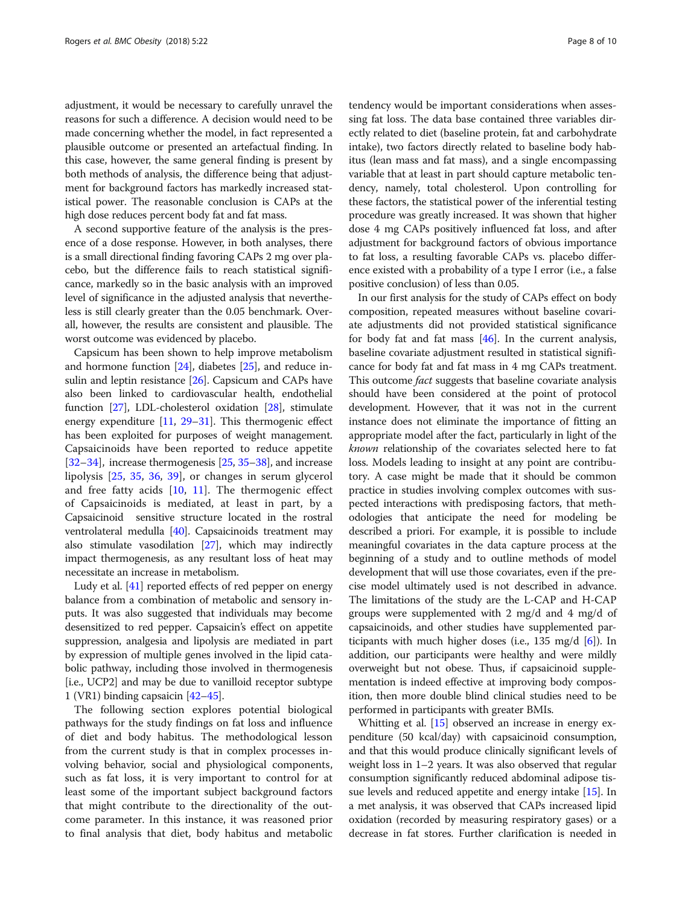adjustment, it would be necessary to carefully unravel the reasons for such a difference. A decision would need to be made concerning whether the model, in fact represented a plausible outcome or presented an artefactual finding. In this case, however, the same general finding is present by both methods of analysis, the difference being that adjustment for background factors has markedly increased statistical power. The reasonable conclusion is CAPs at the high dose reduces percent body fat and fat mass.

A second supportive feature of the analysis is the presence of a dose response. However, in both analyses, there is a small directional finding favoring CAPs 2 mg over placebo, but the difference fails to reach statistical significance, markedly so in the basic analysis with an improved level of significance in the adjusted analysis that nevertheless is still clearly greater than the 0.05 benchmark. Overall, however, the results are consistent and plausible. The worst outcome was evidenced by placebo.

Capsicum has been shown to help improve metabolism and hormone function [\[24\]](#page-9-0), diabetes [\[25\]](#page-9-0), and reduce insulin and leptin resistance [\[26\]](#page-9-0). Capsicum and CAPs have also been linked to cardiovascular health, endothelial function [\[27](#page-9-0)], LDL-cholesterol oxidation [[28](#page-9-0)], stimulate energy expenditure  $[11, 29-31]$  $[11, 29-31]$  $[11, 29-31]$  $[11, 29-31]$  $[11, 29-31]$  $[11, 29-31]$ . This thermogenic effect has been exploited for purposes of weight management. Capsaicinoids have been reported to reduce appetite [[32](#page-9-0)–[34\]](#page-9-0), increase thermogenesis [[25](#page-9-0), [35](#page-9-0)–[38](#page-9-0)], and increase lipolysis [\[25](#page-9-0), [35,](#page-9-0) [36,](#page-9-0) [39](#page-9-0)], or changes in serum glycerol and free fatty acids [[10,](#page-8-0) [11](#page-8-0)]. The thermogenic effect of Capsaicinoids is mediated, at least in part, by a Capsaicinoid sensitive structure located in the rostral ventrolateral medulla [\[40\]](#page-9-0). Capsaicinoids treatment may also stimulate vasodilation [[27](#page-9-0)], which may indirectly impact thermogenesis, as any resultant loss of heat may necessitate an increase in metabolism.

Ludy et al. [[41](#page-9-0)] reported effects of red pepper on energy balance from a combination of metabolic and sensory inputs. It was also suggested that individuals may become desensitized to red pepper. Capsaicin's effect on appetite suppression, analgesia and lipolysis are mediated in part by expression of multiple genes involved in the lipid catabolic pathway, including those involved in thermogenesis [i.e., UCP2] and may be due to vanilloid receptor subtype 1 (VR1) binding capsaicin [[42](#page-9-0)–[45\]](#page-9-0).

The following section explores potential biological pathways for the study findings on fat loss and influence of diet and body habitus. The methodological lesson from the current study is that in complex processes involving behavior, social and physiological components, such as fat loss, it is very important to control for at least some of the important subject background factors that might contribute to the directionality of the outcome parameter. In this instance, it was reasoned prior to final analysis that diet, body habitus and metabolic

tendency would be important considerations when assessing fat loss. The data base contained three variables directly related to diet (baseline protein, fat and carbohydrate intake), two factors directly related to baseline body habitus (lean mass and fat mass), and a single encompassing variable that at least in part should capture metabolic tendency, namely, total cholesterol. Upon controlling for these factors, the statistical power of the inferential testing procedure was greatly increased. It was shown that higher dose 4 mg CAPs positively influenced fat loss, and after adjustment for background factors of obvious importance to fat loss, a resulting favorable CAPs vs. placebo difference existed with a probability of a type I error (i.e., a false positive conclusion) of less than 0.05.

In our first analysis for the study of CAPs effect on body composition, repeated measures without baseline covariate adjustments did not provided statistical significance for body fat and fat mass  $[46]$  $[46]$  $[46]$ . In the current analysis, baseline covariate adjustment resulted in statistical significance for body fat and fat mass in 4 mg CAPs treatment. This outcome *fact* suggests that baseline covariate analysis should have been considered at the point of protocol development. However, that it was not in the current instance does not eliminate the importance of fitting an appropriate model after the fact, particularly in light of the known relationship of the covariates selected here to fat loss. Models leading to insight at any point are contributory. A case might be made that it should be common practice in studies involving complex outcomes with suspected interactions with predisposing factors, that methodologies that anticipate the need for modeling be described a priori. For example, it is possible to include meaningful covariates in the data capture process at the beginning of a study and to outline methods of model development that will use those covariates, even if the precise model ultimately used is not described in advance. The limitations of the study are the L-CAP and H-CAP groups were supplemented with 2 mg/d and 4 mg/d of capsaicinoids, and other studies have supplemented participants with much higher doses (i.e., 135 mg/d  $[6]$ ). In addition, our participants were healthy and were mildly overweight but not obese. Thus, if capsaicinoid supplementation is indeed effective at improving body composition, then more double blind clinical studies need to be performed in participants with greater BMIs.

Whitting et al. [\[15\]](#page-9-0) observed an increase in energy expenditure (50 kcal/day) with capsaicinoid consumption, and that this would produce clinically significant levels of weight loss in 1–2 years. It was also observed that regular consumption significantly reduced abdominal adipose tissue levels and reduced appetite and energy intake [\[15\]](#page-9-0). In a met analysis, it was observed that CAPs increased lipid oxidation (recorded by measuring respiratory gases) or a decrease in fat stores. Further clarification is needed in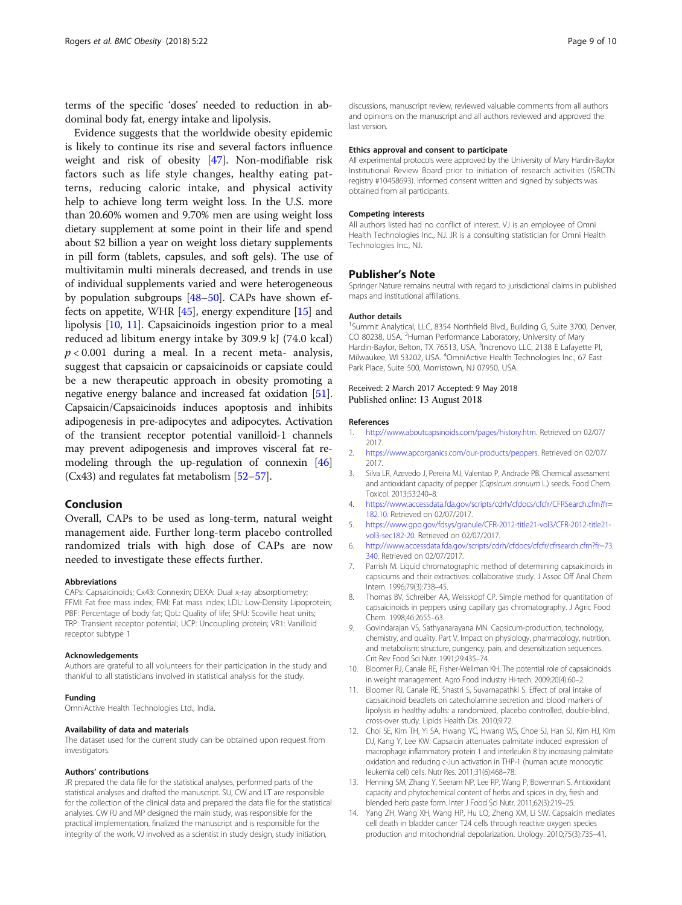<span id="page-8-0"></span>terms of the specific 'doses' needed to reduction in abdominal body fat, energy intake and lipolysis.

Evidence suggests that the worldwide obesity epidemic is likely to continue its rise and several factors influence weight and risk of obesity [[47](#page-9-0)]. Non-modifiable risk factors such as life style changes, healthy eating patterns, reducing caloric intake, and physical activity help to achieve long term weight loss. In the U.S. more than 20.60% women and 9.70% men are using weight loss dietary supplement at some point in their life and spend about \$2 billion a year on weight loss dietary supplements in pill form (tablets, capsules, and soft gels). The use of multivitamin multi minerals decreased, and trends in use of individual supplements varied and were heterogeneous by population subgroups [\[48](#page-9-0)–[50](#page-9-0)]. CAPs have shown effects on appetite, WHR [\[45\]](#page-9-0), energy expenditure [[15](#page-9-0)] and lipolysis [10, 11]. Capsaicinoids ingestion prior to a meal reduced ad libitum energy intake by 309.9 kJ (74.0 kcal)  $p < 0.001$  during a meal. In a recent meta- analysis, suggest that capsaicin or capsaicinoids or capsiate could be a new therapeutic approach in obesity promoting a negative energy balance and increased fat oxidation [[51](#page-9-0)]. Capsaicin/Capsaicinoids induces apoptosis and inhibits adipogenesis in pre-adipocytes and adipocytes. Activation of the transient receptor potential vanilloid-1 channels may prevent adipogenesis and improves visceral fat remodeling through the up-regulation of connexin [[46](#page-9-0)] (Cx43) and regulates fat metabolism [\[52](#page-9-0)–[57](#page-9-0)].

# Conclusion

Overall, CAPs to be used as long-term, natural weight management aide. Further long-term placebo controlled randomized trials with high dose of CAPs are now needed to investigate these effects further.

#### Abbreviations

CAPs: Capsaicinoids; Cx43: Connexin; DEXA: Dual x-ray absorptiometry; FFMI: Fat free mass index; FMI: Fat mass index; LDL: Low-Density Lipoprotein; PBF: Percentage of body fat; QoL: Quality of life; SHU: Scoville heat units; TRP: Transient receptor potential; UCP: Uncoupling protein; VR1: Vanilloid receptor subtype 1

#### Acknowledgements

Authors are grateful to all volunteers for their participation in the study and thankful to all statisticians involved in statistical analysis for the study.

# Funding

OmniActive Health Technologies Ltd., India.

#### Availability of data and materials

The dataset used for the current study can be obtained upon request from investigators.

#### Authors' contributions

JR prepared the data file for the statistical analyses, performed parts of the statistical analyses and drafted the manuscript. SU, CW and LT are responsible for the collection of the clinical data and prepared the data file for the statistical analyses. CW RJ and MP designed the main study, was responsible for the practical implementation, finalized the manuscript and is responsible for the integrity of the work. VJ involved as a scientist in study design, study initiation,

discussions, manuscript review, reviewed valuable comments from all authors and opinions on the manuscript and all authors reviewed and approved the last version.

#### Ethics approval and consent to participate

All experimental protocols were approved by the University of Mary Hardin-Baylor Institutional Review Board prior to initiation of research activities (ISRCTN registry #10458693). Informed consent written and signed by subjects was obtained from all participants.

#### Competing interests

All authors listed had no conflict of interest. VJ is an employee of Omni Health Technologies Inc., NJ. JR is a consulting statistician for Omni Health Technologies Inc., NJ.

#### Publisher's Note

Springer Nature remains neutral with regard to jurisdictional claims in published maps and institutional affiliations.

#### Author details

<sup>1</sup> Summit Analytical, LLC, 8354 Northfield Blvd., Building G, Suite 3700, Denver CO 80238, USA. <sup>2</sup> Human Performance Laboratory, University of Mary Hardin-Baylor, Belton, TX 76513, USA. <sup>3</sup>Increnovo LLC, 2138 E Lafayette Pl Milwaukee, WI 53202, USA. <sup>4</sup>OmniActive Health Technologies Inc., 67 East Park Place, Suite 500, Morristown, NJ 07950, USA.

#### Received: 2 March 2017 Accepted: 9 May 2018 Published online: 13 August 2018

#### References

- 1. <http://www.aboutcapsinoids.com/pages/history.htm>. Retrieved on 02/07/ 2017.
- 2. [https://www.apcorganics.com/our-products/peppers.](https://www.apcorganics.com/our-products/peppers) Retrieved on 02/07/ 2017.
- 3. Silva LR, Azevedo J, Pereira MJ, Valentao P, Andrade PB. Chemical assessment and antioxidant capacity of pepper (Capsicum annuum L.) seeds. Food Chem Toxicol. 2013;53:240–8.
- 4. [https://www.accessdata.fda.gov/scripts/cdrh/cfdocs/cfcfr/CFRSearch.cfm?fr=](https://www.accessdata.fda.gov/scripts/cdrh/cfdocs/cfcfr/CFRSearch.cfm?fr=182.10) [182.10](https://www.accessdata.fda.gov/scripts/cdrh/cfdocs/cfcfr/CFRSearch.cfm?fr=182.10). Retrieved on 02/07/2017.
- 5. [https://www.gpo.gov/fdsys/granule/CFR-2012-title21-vol3/CFR-2012-title21](https://www.gpo.gov/fdsys/granule/CFR-2012-title21-vol3/CFR-2012-title21-vol3-sec182-20) [vol3-sec182-20.](https://www.gpo.gov/fdsys/granule/CFR-2012-title21-vol3/CFR-2012-title21-vol3-sec182-20) Retrieved on 02/07/2017.
- 6. [http://www.accessdata.fda.gov/scripts/cdrh/cfdocs/cfcfr/cfrsearch.cfm?fr=73.](http://www.accessdata.fda.gov/scripts/cdrh/cfdocs/cfcfr/cfrsearch.cfm?fr=73.340) [340.](http://www.accessdata.fda.gov/scripts/cdrh/cfdocs/cfcfr/cfrsearch.cfm?fr=73.340) Retrieved on 02/07/2017.
- 7. Parrish M. Liquid chromatographic method of determining capsaicinoids in capsicums and their extractives: collaborative study. J Assoc Off Anal Chem Intern. 1996;79(3):738–45.
- 8. Thomas BV, Schreiber AA, Weisskopf CP. Simple method for quantitation of capsaicinoids in peppers using capillary gas chromatography. J Agric Food Chem. 1998;46:2655–63.
- 9. Govindarajan VS, Sathyanarayana MN. Capsicum-production, technology, chemistry, and quality. Part V. Impact on physiology, pharmacology, nutrition, and metabolism; structure, pungency, pain, and desensitization sequences. Crit Rev Food Sci Nutr. 1991;29:435–74.
- 10. Bloomer RJ, Canale RE, Fisher-Wellman KH. The potential role of capsaicinoids in weight management. Agro Food Industry Hi-tech. 2009;20(4):60–2.
- 11. Bloomer RJ, Canale RE, Shastri S, Suvarnapathki S. Effect of oral intake of capsaicinoid beadlets on catecholamine secretion and blood markers of lipolysis in healthy adults: a randomized, placebo controlled, double-blind, cross-over study. Lipids Health Dis. 2010;9:72.
- 12. Choi SE, Kim TH, Yi SA, Hwang YC, Hwang WS, Choe SJ, Han SJ, Kim HJ, Kim DJ, Kang Y, Lee KW. Capsaicin attenuates palmitate induced expression of macrophage inflammatory protein 1 and interleukin 8 by increasing palmitate oxidation and reducing c-Jun activation in THP-1 (human acute monocytic leukemia cell) cells. Nutr Res. 2011;31(6):468–78.
- 13. Henning SM, Zhang Y, Seeram NP, Lee RP, Wang P, Bowerman S. Antioxidant capacity and phytochemical content of herbs and spices in dry, fresh and blended herb paste form. Inter J Food Sci Nutr. 2011;62(3):219–25.
- 14. Yang ZH, Wang XH, Wang HP, Hu LQ, Zheng XM, Li SW. Capsaicin mediates cell death in bladder cancer T24 cells through reactive oxygen species production and mitochondrial depolarization. Urology. 2010;75(3):735–41.